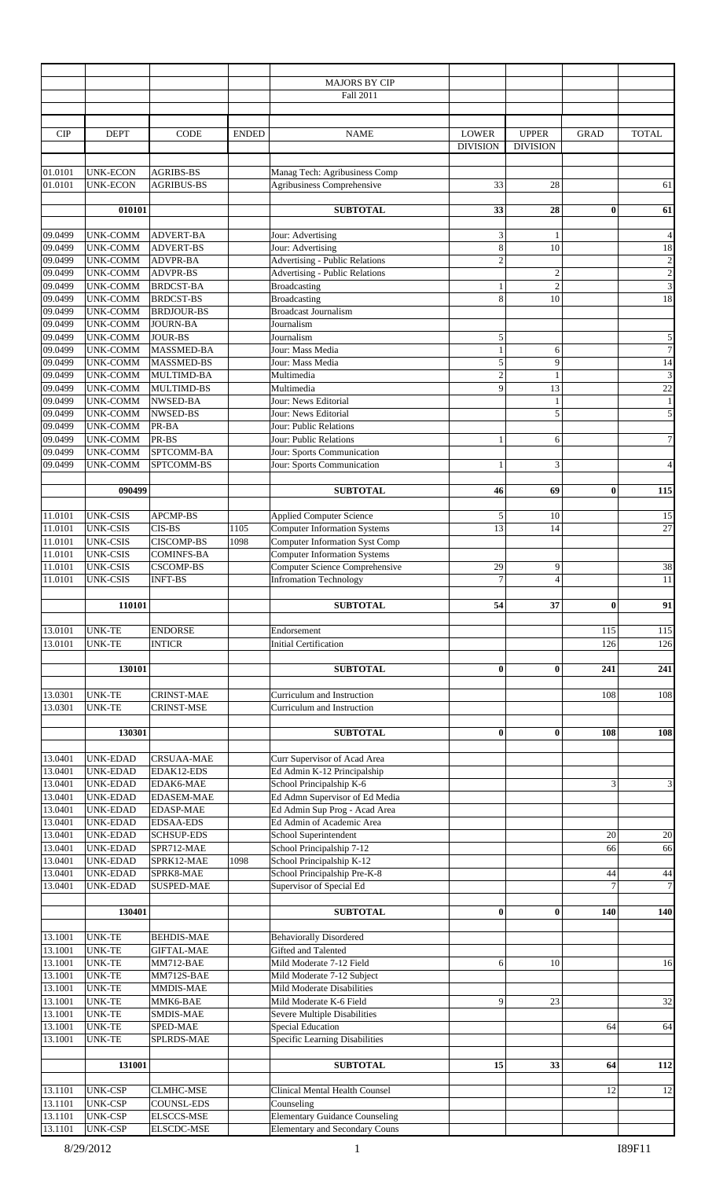|                    |                                    |                   |              | <b>MAJORS BY CIP</b>                                                         |                                 |                                 |                |                         |
|--------------------|------------------------------------|-------------------|--------------|------------------------------------------------------------------------------|---------------------------------|---------------------------------|----------------|-------------------------|
|                    |                                    |                   |              | Fall 2011                                                                    |                                 |                                 |                |                         |
|                    |                                    |                   |              |                                                                              |                                 |                                 |                |                         |
| <b>CIP</b>         | <b>DEPT</b>                        | CODE              | <b>ENDED</b> | <b>NAME</b>                                                                  | <b>LOWER</b><br><b>DIVISION</b> | <b>UPPER</b><br><b>DIVISION</b> | <b>GRAD</b>    | <b>TOTAL</b>            |
| 01.0101            | <b>UNK-ECON</b>                    | <b>AGRIBS-BS</b>  |              | Manag Tech: Agribusiness Comp                                                |                                 |                                 |                |                         |
| 01.0101            | <b>UNK-ECON</b>                    | <b>AGRIBUS-BS</b> |              | Agribusiness Comprehensive                                                   | 33                              | 28                              |                | 61                      |
|                    |                                    |                   |              |                                                                              |                                 |                                 |                |                         |
|                    | 010101                             |                   |              | <b>SUBTOTAL</b>                                                              | 33                              | 28                              | $\bf{0}$       | 61                      |
|                    |                                    |                   |              |                                                                              |                                 |                                 |                |                         |
| 09.0499            | <b>UNK-COMM</b>                    | <b>ADVERT-BA</b>  |              | Jour: Advertising                                                            | $\ensuremath{\mathbf{3}}$       | 1                               |                | $\overline{4}$          |
| 09.0499            | UNK-COMM                           | <b>ADVERT-BS</b>  |              | Jour: Advertising                                                            | 8                               | 10                              |                | $18\,$                  |
| 09.0499            | <b>UNK-COMM</b>                    | <b>ADVPR-BA</b>   |              | <b>Advertising - Public Relations</b>                                        | $\overline{c}$                  |                                 |                | $\overline{\mathbf{c}}$ |
| 09.0499            | UNK-COMM                           | ADVPR-BS          |              | <b>Advertising - Public Relations</b>                                        |                                 | $\overline{2}$                  |                | $\overline{2}$          |
| 09.0499            | UNK-COMM                           | <b>BRDCST-BA</b>  |              | <b>Broadcasting</b>                                                          | $\mathbf{1}$                    | $\overline{2}$                  |                | $\mathfrak{Z}$          |
| 09.0499            | <b>UNK-COMM</b>                    | <b>BRDCST-BS</b>  |              | <b>Broadcasting</b>                                                          | 8                               | 10                              |                | 18                      |
| 09.0499            | <b>UNK-COMM</b>                    | <b>BRDJOUR-BS</b> |              | <b>Broadcast Journalism</b>                                                  |                                 |                                 |                |                         |
| 09.0499            | <b>UNK-COMM</b>                    | <b>JOURN-BA</b>   |              | Journalism                                                                   |                                 |                                 |                |                         |
| 09.0499            | <b>UNK-COMM</b>                    | <b>JOUR-BS</b>    |              | Journalism                                                                   | 5                               |                                 |                | 5                       |
| 09.0499            | UNK-COMM                           | MASSMED-BA        |              | Jour: Mass Media                                                             | $\mathbf{1}$                    | 6                               |                | $\overline{7}$          |
| 09.0499            | <b>UNK-COMM</b>                    | <b>MASSMED-BS</b> |              | Jour: Mass Media                                                             | 5                               | 9                               |                | 14                      |
| 09.0499            | UNK-COMM                           | MULTIMD-BA        |              | Multimedia                                                                   | $\overline{2}$                  | 1                               |                | 3                       |
| 09.0499            | <b>UNK-COMM</b>                    | <b>MULTIMD-BS</b> |              | Multimedia                                                                   | 9                               | 13                              |                | 22                      |
| 09.0499            | <b>UNK-COMM</b>                    | NWSED-BA          |              | Jour: News Editorial                                                         |                                 | 1                               |                | $\mathbf{1}$            |
| 09.0499            | UNK-COMM                           | NWSED-BS          |              | Jour: News Editorial                                                         |                                 | 5                               |                | $\overline{5}$          |
| 09.0499            | UNK-COMM                           | PR-BA             |              | Jour: Public Relations                                                       |                                 |                                 |                |                         |
| 09.0499            | <b>UNK-COMM</b>                    | PR-BS             |              | Jour: Public Relations                                                       | $\mathbf{1}$                    | 6                               |                | $7\vert$                |
| 09.0499            | UNK-COMM                           | SPTCOMM-BA        |              | Jour: Sports Communication                                                   |                                 |                                 |                |                         |
| 09.0499            | <b>UNK-COMM</b>                    | SPTCOMM-BS        |              | Jour: Sports Communication                                                   | $\mathbf{1}$                    | 3                               |                | $\overline{\mathbf{4}}$ |
|                    | 090499                             |                   |              | <b>SUBTOTAL</b>                                                              | 46                              | 69                              | $\bf{0}$       | 115                     |
|                    |                                    | <b>APCMP-BS</b>   |              | <b>Applied Computer Science</b>                                              |                                 |                                 |                |                         |
| 11.0101            | <b>UNK-CSIS</b><br><b>UNK-CSIS</b> | CIS-BS            |              |                                                                              | 5<br>13                         | 10                              |                | 15<br>$\overline{27}$   |
| 11.0101            |                                    |                   | 1105         | <b>Computer Information Systems</b><br><b>Computer Information Syst Comp</b> |                                 | 14                              |                |                         |
| 11.0101            | <b>UNK-CSIS</b><br><b>UNK-CSIS</b> | <b>CISCOMP-BS</b> | 1098         |                                                                              |                                 |                                 |                |                         |
| 11.0101            | <b>UNK-CSIS</b>                    | <b>COMINFS-BA</b> |              | <b>Computer Information Systems</b><br>Computer Science Comprehensive        |                                 |                                 |                |                         |
| 11.0101<br>11.0101 |                                    | <b>CSCOMP-BS</b>  |              |                                                                              | 29<br>$\boldsymbol{7}$          | 9                               |                | $38\,$                  |
|                    | <b>UNK-CSIS</b>                    | <b>INFT-BS</b>    |              | <b>Infromation Technology</b>                                                |                                 | 4                               |                | $11\,$                  |
|                    | 110101                             |                   |              | <b>SUBTOTAL</b>                                                              | 54                              | 37                              | $\bf{0}$       | 91                      |
| 13.0101            | <b>UNK-TE</b>                      | <b>ENDORSE</b>    |              | Endorsement                                                                  |                                 |                                 | 115            | 115                     |
| 13.0101            | <b>UNK-TE</b>                      | <b>INTICR</b>     |              | <b>Initial Certification</b>                                                 |                                 |                                 | 126            | 126                     |
|                    |                                    |                   |              |                                                                              |                                 |                                 |                |                         |
|                    | 130101                             |                   |              | <b>SUBTOTAL</b>                                                              | $\bf{0}$                        | $\bf{0}$                        | 241            | 241                     |
|                    |                                    |                   |              |                                                                              |                                 |                                 |                |                         |
| 13.0301            | <b>UNK-TE</b>                      | <b>CRINST-MAE</b> |              | Curriculum and Instruction                                                   |                                 |                                 | 108            | 108                     |
| 13.0301            | <b>UNK-TE</b>                      | CRINST-MSE        |              | Curriculum and Instruction                                                   |                                 |                                 |                |                         |
|                    |                                    |                   |              |                                                                              |                                 |                                 |                |                         |
|                    | 130301                             |                   |              | <b>SUBTOTAL</b>                                                              | $\bf{0}$                        | $\bf{0}$                        | 108            | 108                     |
|                    |                                    |                   |              |                                                                              |                                 |                                 |                |                         |
| 13.0401            | UNK-EDAD                           | <b>CRSUAA-MAE</b> |              | Curr Supervisor of Acad Area                                                 |                                 |                                 |                |                         |
| 13.0401            | <b>UNK-EDAD</b>                    | EDAK12-EDS        |              | Ed Admin K-12 Principalship                                                  |                                 |                                 |                |                         |
| 13.0401            | <b>UNK-EDAD</b>                    | EDAK6-MAE         |              | School Principalship K-6                                                     |                                 |                                 | 3              | $\mathbf{3}$            |
| 13.0401            | <b>UNK-EDAD</b>                    | <b>EDASEM-MAE</b> |              | Ed Admn Supervisor of Ed Media                                               |                                 |                                 |                |                         |
| 13.0401            | <b>UNK-EDAD</b>                    | <b>EDASP-MAE</b>  |              | Ed Admin Sup Prog - Acad Area                                                |                                 |                                 |                |                         |
| 13.0401            | <b>UNK-EDAD</b>                    | <b>EDSAA-EDS</b>  |              | Ed Admin of Academic Area                                                    |                                 |                                 |                |                         |
| 13.0401            | <b>UNK-EDAD</b>                    | <b>SCHSUP-EDS</b> |              | School Superintendent                                                        |                                 |                                 | 20             | $20\,$                  |
| 13.0401            | <b>UNK-EDAD</b>                    | SPR712-MAE        |              | School Principalship 7-12                                                    |                                 |                                 | 66             | 66                      |
| 13.0401            | <b>UNK-EDAD</b>                    | SPRK12-MAE        | 1098         | School Principalship K-12                                                    |                                 |                                 |                |                         |
| 13.0401            | <b>UNK-EDAD</b>                    | SPRK8-MAE         |              | School Principalship Pre-K-8                                                 |                                 |                                 | 44             | 44                      |
| 13.0401            | UNK-EDAD                           | <b>SUSPED-MAE</b> |              | Supervisor of Special Ed                                                     |                                 |                                 | $\overline{7}$ | $\tau$                  |
|                    |                                    |                   |              |                                                                              |                                 |                                 |                |                         |
|                    | 130401                             |                   |              | <b>SUBTOTAL</b>                                                              | $\bf{0}$                        | $\bf{0}$                        | 140            | 140                     |
|                    |                                    |                   |              |                                                                              |                                 |                                 |                |                         |
| 13.1001            | <b>UNK-TE</b>                      | <b>BEHDIS-MAE</b> |              | <b>Behaviorally Disordered</b>                                               |                                 |                                 |                |                         |
| 13.1001            | <b>UNK-TE</b>                      | <b>GIFTAL-MAE</b> |              | Gifted and Talented                                                          |                                 |                                 |                |                         |
| 13.1001            | <b>UNK-TE</b>                      | MM712-BAE         |              | Mild Moderate 7-12 Field                                                     | 6                               | 10                              |                | 16                      |
| 13.1001            | UNK-TE                             | MM712S-BAE        |              | Mild Moderate 7-12 Subject                                                   |                                 |                                 |                |                         |
| 13.1001            | <b>UNK-TE</b>                      | MMDIS-MAE         |              | Mild Moderate Disabilities                                                   |                                 |                                 |                |                         |
| 13.1001            | <b>UNK-TE</b>                      | MMK6-BAE          |              | Mild Moderate K-6 Field                                                      | 9                               | 23                              |                | 32                      |
| 13.1001            | <b>UNK-TE</b>                      | SMDIS-MAE         |              | Severe Multiple Disabilities                                                 |                                 |                                 |                |                         |
| 13.1001            | <b>UNK-TE</b>                      | SPED-MAE          |              | <b>Special Education</b>                                                     |                                 |                                 | 64             | 64                      |
| 13.1001            | UNK-TE                             | SPLRDS-MAE        |              | Specific Learning Disabilities                                               |                                 |                                 |                |                         |
|                    |                                    |                   |              |                                                                              |                                 |                                 |                |                         |
|                    | 131001                             |                   |              | <b>SUBTOTAL</b>                                                              | 15                              | 33                              | 64             | 112                     |
|                    |                                    |                   |              |                                                                              |                                 |                                 |                |                         |
| 13.1101            | <b>UNK-CSP</b>                     | <b>CLMHC-MSE</b>  |              | Clinical Mental Health Counsel                                               |                                 |                                 | 12             | 12                      |
| 13.1101            | <b>UNK-CSP</b>                     | COUNSL-EDS        |              | Counseling                                                                   |                                 |                                 |                |                         |
| 13.1101            | <b>UNK-CSP</b>                     | ELSCCS-MSE        |              | <b>Elementary Guidance Counseling</b>                                        |                                 |                                 |                |                         |
| 13.1101            | <b>UNK-CSP</b>                     | <b>ELSCDC-MSE</b> |              | <b>Elementary and Secondary Couns</b>                                        |                                 |                                 |                |                         |
|                    |                                    |                   |              |                                                                              |                                 |                                 |                |                         |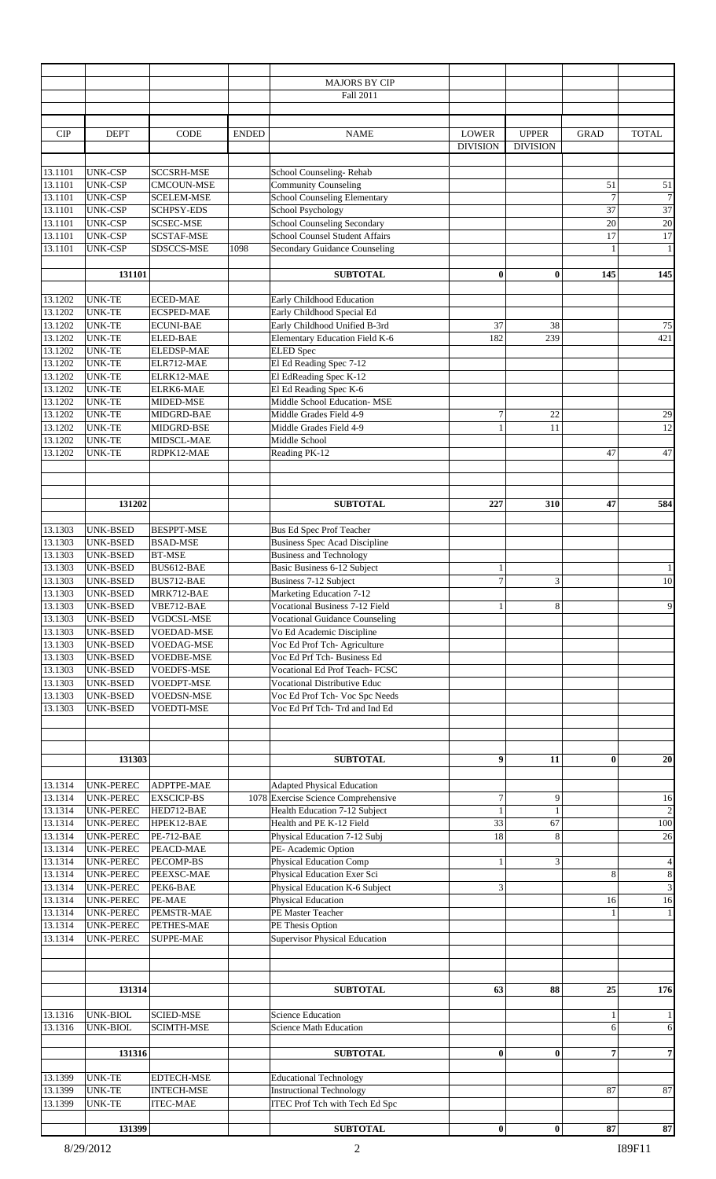|                    |                                    |                                        |              | <b>MAJORS BY CIP</b><br>Fall 2011                                     |                                  |                                 |                   |                         |
|--------------------|------------------------------------|----------------------------------------|--------------|-----------------------------------------------------------------------|----------------------------------|---------------------------------|-------------------|-------------------------|
|                    |                                    |                                        |              |                                                                       |                                  |                                 |                   |                         |
| <b>CIP</b>         | <b>DEPT</b>                        | <b>CODE</b>                            | <b>ENDED</b> | <b>NAME</b>                                                           | <b>LOWER</b><br><b>DIVISION</b>  | <b>UPPER</b><br><b>DIVISION</b> | <b>GRAD</b>       | <b>TOTAL</b>            |
|                    |                                    |                                        |              |                                                                       |                                  |                                 |                   |                         |
| 13.1101<br>13.1101 | <b>UNK-CSP</b><br><b>UNK-CSP</b>   | <b>SCCSRH-MSE</b><br><b>CMCOUN-MSE</b> |              | School Counseling-Rehab<br><b>Community Counseling</b>                |                                  |                                 | 51                | $51\,$                  |
| 13.1101            | <b>UNK-CSP</b>                     | <b>SCELEM-MSE</b>                      |              | <b>School Counseling Elementary</b>                                   |                                  |                                 | $\overline{7}$    | $7\phantom{.0}$         |
| 13.1101            | <b>UNK-CSP</b>                     | <b>SCHPSY-EDS</b>                      |              | School Psychology                                                     |                                  |                                 | 37                | 37                      |
| 13.1101<br>13.1101 | <b>UNK-CSP</b>                     | <b>SCSEC-MSE</b>                       |              | School Counseling Secondary<br>School Counsel Student Affairs         |                                  |                                 | 20<br>17          | $20\,$<br>17            |
| 13.1101            | <b>UNK-CSP</b><br><b>UNK-CSP</b>   | SCSTAF-MSE<br>SDSCCS-MSE               | 1098         | Secondary Guidance Counseling                                         |                                  |                                 | $\mathbf{1}$      | $\mathbf{1}$            |
|                    |                                    |                                        |              |                                                                       |                                  |                                 |                   |                         |
|                    | 131101                             |                                        |              | <b>SUBTOTAL</b>                                                       | $\bf{0}$                         | 0                               | 145               | 145                     |
| 13.1202<br>13.1202 | <b>UNK-TE</b><br><b>UNK-TE</b>     | <b>ECED-MAE</b><br><b>ECSPED-MAE</b>   |              | Early Childhood Education<br>Early Childhood Special Ed               |                                  |                                 |                   |                         |
| 13.1202            | <b>UNK-TE</b>                      | <b>ECUNI-BAE</b>                       |              | Early Childhood Unified B-3rd                                         | 37                               | 38                              |                   | 75                      |
| 13.1202            | <b>UNK-TE</b>                      | <b>ELED-BAE</b>                        |              | Elementary Education Field K-6                                        | 182                              | 239                             |                   | 421                     |
| 13.1202            | <b>UNK-TE</b>                      | <b>ELEDSP-MAE</b>                      |              | <b>ELED</b> Spec                                                      |                                  |                                 |                   |                         |
| 13.1202            | <b>UNK-TE</b>                      | ELR712-MAE                             |              | El Ed Reading Spec 7-12                                               |                                  |                                 |                   |                         |
| 13.1202            | <b>UNK-TE</b>                      | ELRK12-MAE                             |              | El EdReading Spec K-12<br>El Ed Reading Spec K-6                      |                                  |                                 |                   |                         |
| 13.1202<br>13.1202 | <b>UNK-TE</b><br><b>UNK-TE</b>     | ELRK6-MAE<br>MIDED-MSE                 |              | Middle School Education- MSE                                          |                                  |                                 |                   |                         |
| 13.1202            | <b>UNK-TE</b>                      | MIDGRD-BAE                             |              | Middle Grades Field 4-9                                               | $\tau$                           | 22                              |                   | 29                      |
| 13.1202            | <b>UNK-TE</b>                      | MIDGRD-BSE                             |              | Middle Grades Field 4-9                                               | $\mathbf{1}$                     | 11                              |                   | $12\,$                  |
| 13.1202            | <b>UNK-TE</b>                      | MIDSCL-MAE                             |              | Middle School                                                         |                                  |                                 |                   |                         |
| 13.1202            | <b>UNK-TE</b>                      | RDPK12-MAE                             |              | Reading PK-12                                                         |                                  |                                 | 47                | 47                      |
|                    |                                    |                                        |              |                                                                       |                                  |                                 |                   |                         |
|                    | 131202                             |                                        |              | <b>SUBTOTAL</b>                                                       | 227                              | 310                             | 47                | 584                     |
| 13.1303            | UNK-BSED                           | <b>BESPPT-MSE</b>                      |              | Bus Ed Spec Prof Teacher                                              |                                  |                                 |                   |                         |
| 13.1303            | <b>UNK-BSED</b>                    | <b>BSAD-MSE</b>                        |              | <b>Business Spec Acad Discipline</b>                                  |                                  |                                 |                   |                         |
| 13.1303            | UNK-BSED                           | <b>BT-MSE</b>                          |              | <b>Business and Technology</b>                                        |                                  |                                 |                   |                         |
| 13.1303            | UNK-BSED                           | BUS612-BAE                             |              | Basic Business 6-12 Subject                                           | $\mathbf{1}$                     |                                 |                   | 1                       |
| 13.1303            | UNK-BSED                           | BUS712-BAE                             |              | Business 7-12 Subject                                                 | $\boldsymbol{7}$                 | 3                               |                   | $10\,$                  |
| 13.1303<br>13.1303 | <b>UNK-BSED</b><br><b>UNK-BSED</b> | MRK712-BAE<br>VBE712-BAE               |              | Marketing Education 7-12<br><b>Vocational Business 7-12 Field</b>     | $\mathbf{1}$                     | 8                               |                   | $\mathbf{9}$            |
| 13.1303            | <b>UNK-BSED</b>                    | VGDCSL-MSE                             |              | <b>Vocational Guidance Counseling</b>                                 |                                  |                                 |                   |                         |
| 13.1303            | UNK-BSED                           | <b>VOEDAD-MSE</b>                      |              | Vo Ed Academic Discipline                                             |                                  |                                 |                   |                         |
| 13.1303            | <b>UNK-BSED</b>                    | <b>VOEDAG-MSE</b>                      |              | Voc Ed Prof Tch- Agriculture                                          |                                  |                                 |                   |                         |
| 13.1303            | <b>UNK-BSED</b>                    | <b>VOEDBE-MSE</b>                      |              | Voc Ed Prf Tch-Business Ed                                            |                                  |                                 |                   |                         |
| 13.1303            | UNK-BSED                           | VOEDFS-MSE                             |              | Vocational Ed Prof Teach- FCSC<br><b>Vocational Distributive Educ</b> |                                  |                                 |                   |                         |
| 13.1303<br>13.1303 | <b>UNK-BSED</b><br><b>UNK-BSED</b> | VOEDPT-MSE<br>VOEDSN-MSE               |              | Voc Ed Prof Tch- Voc Spc Needs                                        |                                  |                                 |                   |                         |
| 13.1303            | <b>UNK-BSED</b>                    | VOEDTI-MSE                             |              | Voc Ed Prf Tch-Trd and Ind Ed                                         |                                  |                                 |                   |                         |
|                    |                                    |                                        |              |                                                                       |                                  |                                 |                   |                         |
|                    | 131303                             |                                        |              | <b>SUBTOTAL</b>                                                       | 9                                | 11                              | $\mathbf{0}$      | 20                      |
|                    |                                    |                                        |              |                                                                       |                                  |                                 |                   |                         |
| 13.1314            | <b>UNK-PEREC</b>                   | ADPTPE-MAE                             |              | <b>Adapted Physical Education</b>                                     |                                  |                                 |                   |                         |
| 13.1314<br>13.1314 | UNK-PEREC<br>UNK-PEREC             | <b>EXSCICP-BS</b><br>HED712-BAE        |              | 1078 Exercise Science Comprehensive<br>Health Education 7-12 Subject  | $\boldsymbol{7}$<br>$\mathbf{1}$ | 9<br>$\mathbf{1}$               |                   | 16<br>$\overline{2}$    |
| 13.1314            | <b>UNK-PEREC</b>                   | HPEK12-BAE                             |              | Health and PE K-12 Field                                              | 33                               | 67                              |                   | $100\,$                 |
| 13.1314            | <b>UNK-PEREC</b>                   | PE-712-BAE                             |              | Physical Education 7-12 Subj                                          | 18                               | 8                               |                   | 26                      |
| 13.1314            | UNK-PEREC                          | PEACD-MAE                              |              | PE- Academic Option                                                   |                                  |                                 |                   |                         |
| 13.1314            | UNK-PEREC                          | PECOMP-BS                              |              | <b>Physical Education Comp</b>                                        | $\mathbf{1}$                     | 3                               |                   | $\overline{\mathbf{4}}$ |
| 13.1314            | UNK-PEREC                          | PEEXSC-MAE                             |              | Physical Education Exer Sci                                           |                                  |                                 | 8                 | $\,$ 8 $\,$             |
| 13.1314<br>13.1314 | UNK-PEREC<br>UNK-PEREC             | PEK6-BAE<br>PE-MAE                     |              | Physical Education K-6 Subject<br>Physical Education                  | 3                                |                                 | 16                | $\mathfrak{Z}$<br>16    |
| 13.1314            | UNK-PEREC                          | PEMSTR-MAE                             |              | PE Master Teacher                                                     |                                  |                                 | $\mathbf{1}$      | $\mathbf{1}$            |
| 13.1314            | UNK-PEREC                          | PETHES-MAE                             |              | PE Thesis Option                                                      |                                  |                                 |                   |                         |
| 13.1314            | UNK-PEREC                          | <b>SUPPE-MAE</b>                       |              | <b>Supervisor Physical Education</b>                                  |                                  |                                 |                   |                         |
|                    |                                    |                                        |              |                                                                       |                                  |                                 |                   |                         |
|                    | 131314                             |                                        |              | <b>SUBTOTAL</b>                                                       | 63                               | 88                              | 25                | 176                     |
| 13.1316<br>13.1316 | UNK-BIOL<br>UNK-BIOL               | <b>SCIED-MSE</b><br><b>SCIMTH-MSE</b>  |              | <b>Science Education</b><br><b>Science Math Education</b>             |                                  |                                 | $\mathbf{1}$<br>6 | $\mathbf{1}$<br>6       |
|                    |                                    |                                        |              |                                                                       |                                  |                                 |                   |                         |
|                    | 131316                             |                                        |              | <b>SUBTOTAL</b>                                                       | $\bf{0}$                         | $\bf{0}$                        | $\overline{7}$    | $\overline{7}$          |
| 13.1399            | <b>UNK-TE</b>                      | <b>EDTECH-MSE</b>                      |              | <b>Educational Technology</b>                                         |                                  |                                 |                   |                         |
| 13.1399            | <b>UNK-TE</b>                      | <b>INTECH-MSE</b>                      |              | <b>Instructional Technology</b>                                       |                                  |                                 | 87                | 87                      |
| 13.1399            | <b>UNK-TE</b>                      | <b>ITEC-MAE</b>                        |              | ITEC Prof Tch with Tech Ed Spc                                        |                                  |                                 |                   |                         |
|                    | 131399                             |                                        |              | <b>SUBTOTAL</b>                                                       | $\bf{0}$                         | $\bf{0}$                        | 87                | 87                      |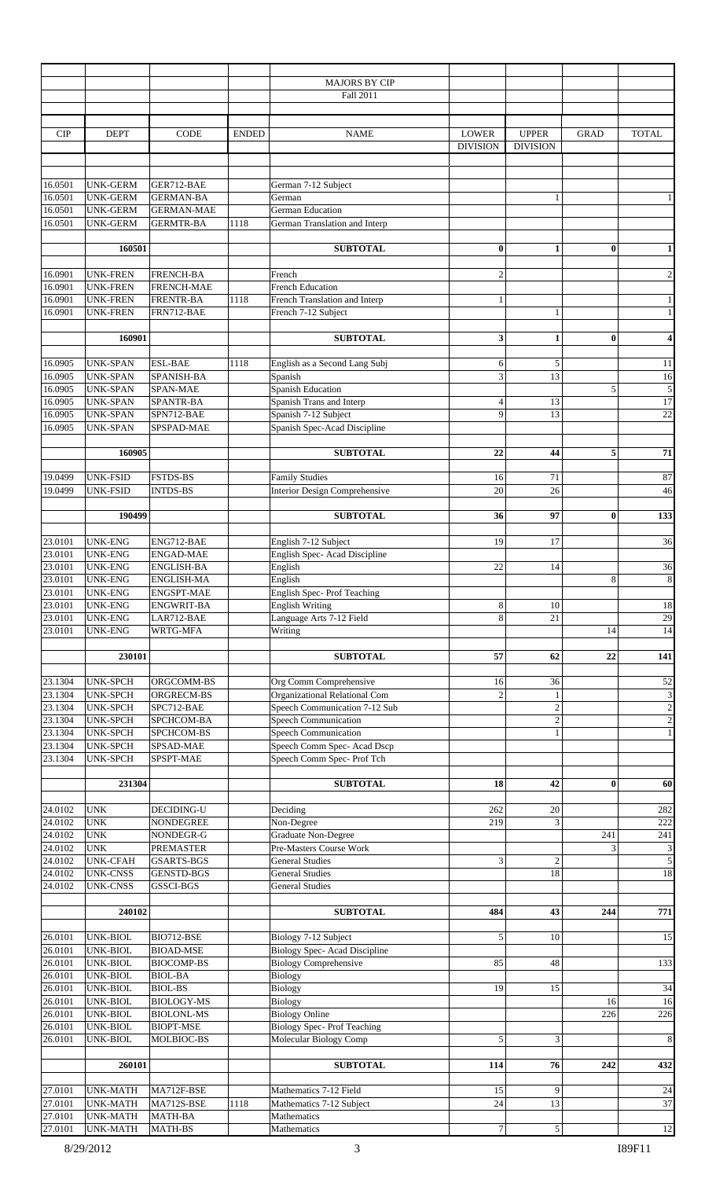|                    |                                    |                                        |              | <b>MAJORS BY CIP</b>                                                |                  |                 |             |                             |
|--------------------|------------------------------------|----------------------------------------|--------------|---------------------------------------------------------------------|------------------|-----------------|-------------|-----------------------------|
|                    |                                    |                                        |              | Fall 2011                                                           |                  |                 |             |                             |
|                    |                                    |                                        |              |                                                                     |                  |                 |             |                             |
|                    |                                    |                                        |              |                                                                     |                  |                 |             |                             |
| <b>CIP</b>         | <b>DEPT</b>                        | <b>CODE</b>                            | <b>ENDED</b> | <b>NAME</b>                                                         | <b>LOWER</b>     | <b>UPPER</b>    | <b>GRAD</b> | <b>TOTAL</b>                |
|                    |                                    |                                        |              |                                                                     | <b>DIVISION</b>  | <b>DIVISION</b> |             |                             |
|                    |                                    |                                        |              |                                                                     |                  |                 |             |                             |
|                    |                                    |                                        |              |                                                                     |                  |                 |             |                             |
| 16.0501            | <b>UNK-GERM</b>                    | GER712-BAE                             |              | German 7-12 Subject                                                 |                  |                 |             |                             |
| 16.0501            | <b>UNK-GERM</b>                    | <b>GERMAN-BA</b>                       |              | German                                                              |                  |                 |             | $\mathbf{1}$                |
| 16.0501            | <b>UNK-GERM</b>                    | <b>GERMAN-MAE</b>                      |              | German Education                                                    |                  |                 |             |                             |
| 16.0501            | <b>UNK-GERM</b>                    | <b>GERMTR-BA</b>                       | 1118         | German Translation and Interp                                       |                  |                 |             |                             |
|                    |                                    |                                        |              |                                                                     |                  |                 |             |                             |
|                    | 160501                             |                                        |              | <b>SUBTOTAL</b>                                                     | $\bf{0}$         | 1               | $\bf{0}$    | $\mathbf{1}$                |
|                    |                                    |                                        |              |                                                                     |                  |                 |             |                             |
| 16.0901            | <b>UNK-FREN</b>                    | <b>FRENCH-BA</b>                       |              | French                                                              | $\overline{2}$   |                 |             | $\,2$                       |
| 16.0901            | <b>UNK-FREN</b>                    | <b>FRENCH-MAE</b>                      |              | <b>French Education</b>                                             |                  |                 |             |                             |
| 16.0901            | <b>UNK-FREN</b>                    | <b>FRENTR-BA</b>                       | 1118         | French Translation and Interp                                       | 1                |                 |             | $\mathbf{1}$                |
| 16.0901            | UNK-FREN                           | FRN712-BAE                             |              | French 7-12 Subject                                                 |                  | $\mathbf{1}$    |             | $\mathbf{1}$                |
|                    |                                    |                                        |              |                                                                     |                  |                 |             |                             |
|                    | 160901                             |                                        |              | <b>SUBTOTAL</b>                                                     | 3                | 1               | $\bf{0}$    | 4                           |
|                    |                                    |                                        |              |                                                                     |                  |                 |             |                             |
|                    |                                    |                                        |              |                                                                     |                  |                 |             |                             |
| 16.0905            | <b>UNK-SPAN</b>                    | <b>ESL-BAE</b>                         | 1118         | English as a Second Lang Subj                                       | 6                | 5               |             | $11\,$                      |
| 16.0905            | <b>UNK-SPAN</b>                    | SPANISH-BA                             |              | Spanish                                                             | 3                | 13              |             | 16                          |
| 16.0905            | <b>UNK-SPAN</b>                    | SPAN-MAE                               |              | <b>Spanish Education</b>                                            |                  |                 | 5           | $\sqrt{5}$                  |
| 16.0905            | <b>UNK-SPAN</b>                    | SPANTR-BA                              |              | Spanish Trans and Interp                                            | $\overline{4}$   | 13              |             | 17                          |
| 16.0905            | <b>UNK-SPAN</b>                    | SPN712-BAE                             |              | Spanish 7-12 Subject                                                | 9                | 13              |             | $22\,$                      |
| 16.0905            | <b>UNK-SPAN</b>                    | SPSPAD-MAE                             |              | Spanish Spec-Acad Discipline                                        |                  |                 |             |                             |
|                    |                                    |                                        |              |                                                                     |                  |                 |             |                             |
|                    | 160905                             |                                        |              | <b>SUBTOTAL</b>                                                     | 22               | 44              | 5           | 71                          |
|                    |                                    |                                        |              |                                                                     |                  |                 |             |                             |
| 19.0499            | <b>UNK-FSID</b>                    | FSTDS-BS                               |              | <b>Family Studies</b>                                               | 16               | 71              |             | 87                          |
| 19.0499            | <b>UNK-FSID</b>                    | <b>INTDS-BS</b>                        |              | <b>Interior Design Comprehensive</b>                                | 20               | 26              |             | 46                          |
|                    |                                    |                                        |              |                                                                     |                  |                 |             |                             |
|                    | 190499                             |                                        |              | <b>SUBTOTAL</b>                                                     | 36               | 97              | $\bf{0}$    | 133                         |
|                    |                                    |                                        |              |                                                                     |                  |                 |             |                             |
| 23.0101            | <b>UNK-ENG</b>                     | ENG712-BAE                             |              | English 7-12 Subject                                                | 19               | 17              |             | 36                          |
| 23.0101            | <b>UNK-ENG</b>                     | <b>ENGAD-MAE</b>                       |              | English Spec- Acad Discipline                                       |                  |                 |             |                             |
| 23.0101            | <b>UNK-ENG</b>                     | ENGLISH-BA                             |              | English                                                             | 22               | 14              |             | 36                          |
| 23.0101            | <b>UNK-ENG</b>                     | <b>ENGLISH-MA</b>                      |              | English                                                             |                  |                 | 8           | $\,8\,$                     |
| 23.0101            | <b>UNK-ENG</b>                     | <b>ENGSPT-MAE</b>                      |              | <b>English Spec-Prof Teaching</b>                                   |                  |                 |             |                             |
| 23.0101            | <b>UNK-ENG</b>                     | <b>ENGWRIT-BA</b>                      |              | <b>English Writing</b>                                              | 8                | 10              |             | 18                          |
| 23.0101            | <b>UNK-ENG</b>                     | LAR712-BAE                             |              | Language Arts 7-12 Field                                            | 8                | 21              |             | $29\,$                      |
| 23.0101            | <b>UNK-ENG</b>                     | WRTG-MFA                               |              | Writing                                                             |                  |                 | 14          | 14                          |
|                    |                                    |                                        |              |                                                                     |                  |                 |             |                             |
|                    | 230101                             |                                        |              | <b>SUBTOTAL</b>                                                     | 57               | 62              | 22          | 141                         |
|                    |                                    |                                        |              |                                                                     |                  |                 |             |                             |
| 23.1304            | <b>UNK-SPCH</b>                    |                                        |              |                                                                     |                  |                 |             |                             |
|                    |                                    | ORGCOMM-BS                             |              | Org Comm Comprehensive                                              | 16               | 36              |             | 52                          |
| 23.1304            | <b>UNK-SPCH</b>                    | ORGRECM-BS                             |              | Organizational Relational Com                                       | $\overline{2}$   | 1               |             | $\ensuremath{\mathfrak{Z}}$ |
| 23.1304            | <b>UNK-SPCH</b>                    | SPC712-BAE                             |              | Speech Communication 7-12 Sub                                       |                  | $\overline{2}$  |             | $\overline{c}$              |
| 23.1304            | <b>UNK-SPCH</b>                    | SPCHCOM-BA                             |              | Speech Communication                                                |                  | $\mathfrak{2}$  |             | $\sqrt{2}$                  |
| 23.1304            | <b>UNK-SPCH</b>                    | SPCHCOM-BS                             |              | Speech Communication                                                |                  | 1               |             | $\mathbf{1}$                |
| 23.1304            | <b>UNK-SPCH</b>                    | SPSAD-MAE                              |              | Speech Comm Spec- Acad Dscp                                         |                  |                 |             |                             |
| 23.1304            | <b>UNK-SPCH</b>                    | SPSPT-MAE                              |              | Speech Comm Spec-Prof Tch                                           |                  |                 |             |                             |
|                    |                                    |                                        |              |                                                                     |                  |                 |             |                             |
|                    | 231304                             |                                        |              | <b>SUBTOTAL</b>                                                     | 18               | 42              | $\bf{0}$    | 60                          |
|                    |                                    |                                        |              |                                                                     |                  |                 |             |                             |
| 24.0102            | <b>UNK</b>                         | DECIDING-U                             |              | Deciding                                                            | 262              | 20              |             | 282                         |
| 24.0102            | $\ensuremath{\text{UNK}}$          | <b>NONDEGREE</b>                       |              | Non-Degree                                                          | 219              | 3               |             | 222                         |
| 24.0102            | <b>UNK</b>                         | NONDEGR-G                              |              | <b>Graduate Non-Degree</b>                                          |                  |                 | 241         | 241                         |
| 24.0102            | <b>UNK</b>                         | PREMASTER                              |              | Pre-Masters Course Work                                             |                  |                 | 3           | $\ensuremath{\mathfrak{Z}}$ |
| 24.0102            | <b>UNK-CFAH</b>                    | <b>GSARTS-BGS</b>                      |              | <b>General Studies</b>                                              | 3                | $\overline{2}$  |             | $\overline{5}$              |
| 24.0102            | <b>UNK-CNSS</b>                    | <b>GENSTD-BGS</b>                      |              | <b>General Studies</b>                                              |                  | 18              |             | 18                          |
| 24.0102            | <b>UNK-CNSS</b>                    | GSSCI-BGS                              |              | <b>General Studies</b>                                              |                  |                 |             |                             |
|                    |                                    |                                        |              |                                                                     |                  |                 |             |                             |
|                    | 240102                             |                                        |              | <b>SUBTOTAL</b>                                                     | 484              | 43              | 244         | 771                         |
|                    |                                    |                                        |              |                                                                     |                  |                 |             |                             |
| 26.0101            | UNK-BIOL                           | BIO712-BSE                             |              | Biology 7-12 Subject                                                | 5                | 10              |             | $15\,$                      |
| 26.0101            | UNK-BIOL                           |                                        |              |                                                                     |                  |                 |             |                             |
| 26.0101            | UNK-BIOL                           | <b>BIOAD-MSE</b><br><b>BIOCOMP-BS</b>  |              | <b>Biology Spec-Acad Discipline</b><br><b>Biology Comprehensive</b> | 85               | 48              |             | 133                         |
| 26.0101            | UNK-BIOL                           | <b>BIOL-BA</b>                         |              |                                                                     |                  |                 |             |                             |
|                    |                                    | <b>BIOL-BS</b>                         |              | <b>Biology</b>                                                      | 19               | 15              |             |                             |
| 26.0101            | UNK-BIOL                           |                                        |              | <b>Biology</b>                                                      |                  |                 | 16          | 34                          |
| 26.0101            | UNK-BIOL                           | <b>BIOLOGY-MS</b><br><b>BIOLONL-MS</b> |              | Biology                                                             |                  |                 | 226         | 16                          |
| 26.0101            | UNK-BIOL                           | <b>BIOPT-MSE</b>                       |              | <b>Biology Online</b>                                               |                  |                 |             | 226                         |
| 26.0101            | UNK-BIOL                           |                                        |              | <b>Biology Spec-Prof Teaching</b>                                   | 5                | 3               |             |                             |
| 26.0101            | UNK-BIOL                           | MOLBIOC-BS                             |              | Molecular Biology Comp                                              |                  |                 |             | $\,8\,$                     |
|                    |                                    |                                        |              |                                                                     | 114              |                 |             |                             |
|                    | 260101                             |                                        |              | <b>SUBTOTAL</b>                                                     |                  | 76              | 242         | 432                         |
|                    |                                    |                                        |              |                                                                     |                  | 9               |             |                             |
| 27.0101            | <b>UNK-MATH</b>                    | MA712F-BSE                             |              | Mathematics 7-12 Field                                              | 15               |                 |             | $24\,$                      |
| 27.0101            | UNK-MATH                           | MA712S-BSE                             | 1118         | Mathematics 7-12 Subject                                            | 24               | 13              |             | 37                          |
| 27.0101<br>27.0101 | <b>UNK-MATH</b><br><b>UNK-MATH</b> | MATH-BA<br><b>MATH-BS</b>              |              | Mathematics<br>Mathematics                                          | $\boldsymbol{7}$ | 5               |             | 12                          |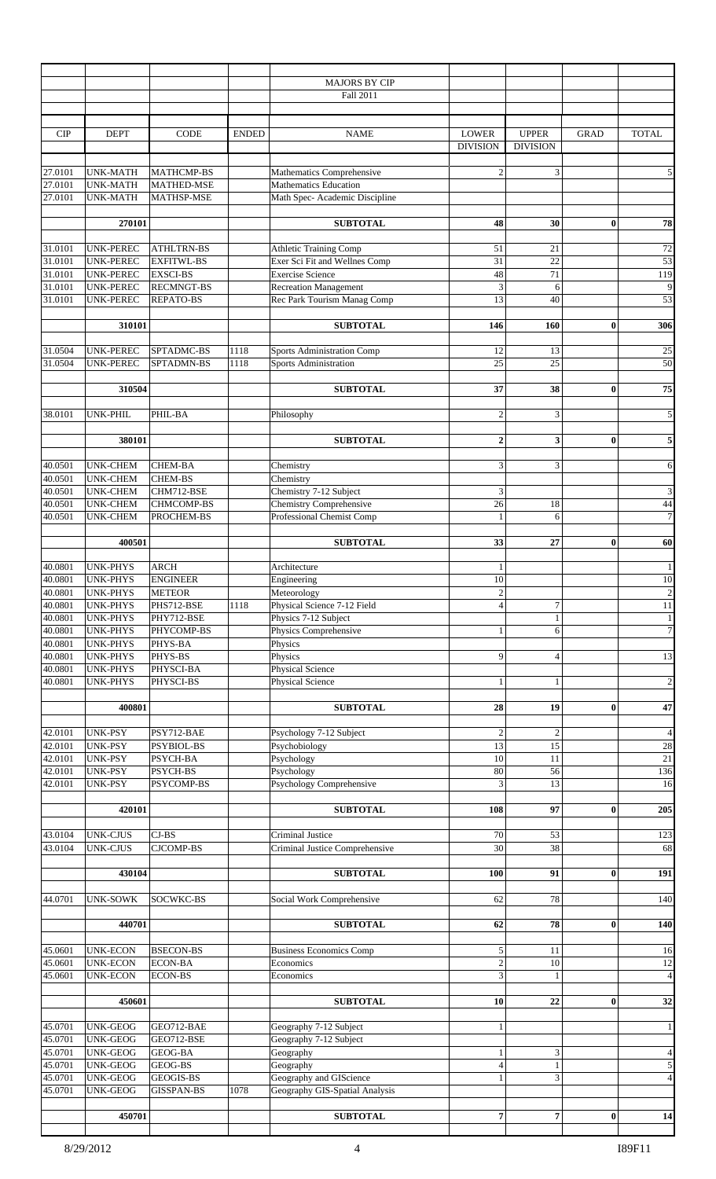|                    |                                    |                                  |              | <b>MAJORS BY CIP</b><br>Fall 2011                        |                                 |                                 |              |                 |
|--------------------|------------------------------------|----------------------------------|--------------|----------------------------------------------------------|---------------------------------|---------------------------------|--------------|-----------------|
|                    |                                    |                                  |              |                                                          |                                 |                                 |              |                 |
| <b>CIP</b>         | <b>DEPT</b>                        | <b>CODE</b>                      | <b>ENDED</b> | <b>NAME</b>                                              | <b>LOWER</b><br><b>DIVISION</b> | <b>UPPER</b><br><b>DIVISION</b> | <b>GRAD</b>  | <b>TOTAL</b>    |
| 27.0101            | <b>UNK-MATH</b>                    | <b>MATHCMP-BS</b>                |              | Mathematics Comprehensive                                | $\overline{c}$                  | 3                               |              | 5               |
| 27.0101            | <b>UNK-MATH</b>                    | <b>MATHED-MSE</b>                |              | <b>Mathematics Education</b>                             |                                 |                                 |              |                 |
| 27.0101            | <b>UNK-MATH</b>                    | MATHSP-MSE                       |              | Math Spec- Academic Discipline                           |                                 |                                 |              |                 |
|                    |                                    |                                  |              |                                                          |                                 |                                 |              |                 |
|                    | 270101                             |                                  |              | <b>SUBTOTAL</b>                                          | 48                              | 30                              | $\bf{0}$     | 78              |
| 31.0101            | <b>UNK-PEREC</b>                   | <b>ATHLTRN-BS</b>                |              | <b>Athletic Training Comp</b>                            | 51                              | 21                              |              | 72              |
| 31.0101            | UNK-PEREC                          | <b>EXFITWL-BS</b>                |              | Exer Sci Fit and Wellnes Comp                            | 31                              | $22\,$                          |              | $\overline{53}$ |
| 31.0101            | UNK-PEREC                          | <b>EXSCI-BS</b>                  |              | <b>Exercise Science</b>                                  | 48                              | 71                              |              | 119             |
| 31.0101            | <b>UNK-PEREC</b>                   | <b>RECMNGT-BS</b>                |              | <b>Recreation Management</b>                             | $\overline{\mathbf{3}}$         | 6                               |              | 9               |
| 31.0101            | UNK-PEREC                          | <b>REPATO-BS</b>                 |              | Rec Park Tourism Manag Comp                              | 13                              | 40                              |              | 53              |
|                    | 310101                             |                                  |              | <b>SUBTOTAL</b>                                          | 146                             | 160                             | $\bf{0}$     | 306             |
|                    |                                    |                                  |              |                                                          |                                 |                                 |              |                 |
| 31.0504<br>31.0504 | UNK-PEREC                          | SPTADMC-BS                       | 1118         | <b>Sports Administration Comp</b>                        | 12<br>$\overline{25}$           | 13                              |              | $25\,$<br>50    |
|                    | <b>UNK-PEREC</b>                   | SPTADMN-BS                       | 1118         | Sports Administration                                    |                                 | 25                              |              |                 |
|                    | 310504                             |                                  |              | <b>SUBTOTAL</b>                                          | 37                              | 38                              | $\bf{0}$     | 75              |
|                    |                                    |                                  |              |                                                          |                                 |                                 |              |                 |
| 38.0101            | UNK-PHIL                           | PHIL-BA                          |              | Philosophy                                               | $\sqrt{2}$                      | 3                               |              | 5               |
|                    | 380101                             |                                  |              | <b>SUBTOTAL</b>                                          | $\mathbf{2}$                    | 3                               | $\bf{0}$     | 5               |
|                    |                                    |                                  |              |                                                          |                                 |                                 |              |                 |
| 40.0501            | <b>UNK-CHEM</b>                    | <b>CHEM-BA</b>                   |              | Chemistry                                                | 3                               | 3                               |              | 6               |
| 40.0501            | <b>UNK-CHEM</b>                    | <b>CHEM-BS</b>                   |              | Chemistry                                                |                                 |                                 |              |                 |
| 40.0501<br>40.0501 | <b>UNK-CHEM</b><br><b>UNK-CHEM</b> | CHM712-BSE<br>CHMCOMP-BS         |              | Chemistry 7-12 Subject<br><b>Chemistry Comprehensive</b> | 3<br>26                         | 18                              |              | 3<br>44         |
| 40.0501            | <b>UNK-CHEM</b>                    | PROCHEM-BS                       |              | Professional Chemist Comp                                | $\mathbf{1}$                    | 6                               |              | $\overline{7}$  |
|                    |                                    |                                  |              |                                                          |                                 |                                 |              |                 |
|                    | 400501                             |                                  |              | <b>SUBTOTAL</b>                                          | 33                              | 27                              | $\bf{0}$     | 60              |
| 40.0801            | <b>UNK-PHYS</b>                    | <b>ARCH</b>                      |              | Architecture                                             | 1                               |                                 |              |                 |
| 40.0801            | <b>UNK-PHYS</b>                    | <b>ENGINEER</b>                  |              | Engineering                                              | 10                              |                                 |              | $10\,$          |
| 40.0801            | <b>UNK-PHYS</b>                    | <b>METEOR</b>                    |              | Meteorology                                              | $\boldsymbol{2}$                |                                 |              | $\overline{2}$  |
| 40.0801            | <b>UNK-PHYS</b>                    | PHS712-BSE                       | 1118         | Physical Science 7-12 Field                              | $\overline{4}$                  | 7                               |              | $11\,$          |
| 40.0801            | <b>UNK-PHYS</b>                    | PHY712-BSE                       |              | Physics 7-12 Subject                                     |                                 | $\mathbf{1}$                    |              | $\frac{1}{2}$   |
| 40.0801            | <b>UNK-PHYS</b>                    | PHYCOMP-BS                       |              | Physics Comprehensive                                    | $\mathbf{1}$                    | 6                               |              | $\overline{7}$  |
| 40.0801            | <b>UNK-PHYS</b>                    | PHYS-BA                          |              | Physics                                                  |                                 |                                 |              |                 |
| 40.0801<br>40.0801 | <b>UNK-PHYS</b><br><b>UNK-PHYS</b> | PHYS-BS<br>PHYSCI-BA             |              | Physics<br>Physical Science                              | 9                               | $\overline{4}$                  |              | 13              |
| 40.0801            | <b>UNK-PHYS</b>                    | PHYSCI-BS                        |              | Physical Science                                         | $\mathbf{1}$                    | $\mathbf{1}$                    |              | $\sqrt{2}$      |
|                    |                                    |                                  |              |                                                          |                                 |                                 |              |                 |
|                    | 400801                             |                                  |              | <b>SUBTOTAL</b>                                          | 28                              | 19                              | $\bf{0}$     | 47              |
| 42.0101            | UNK-PSY                            | PSY712-BAE                       |              | Psychology 7-12 Subject                                  | $\sqrt{2}$                      | $\sqrt{2}$                      |              | $\overline{4}$  |
| 42.0101            | UNK-PSY                            | <b>PSYBIOL-BS</b>                |              | Psychobiology                                            | 13                              | 15                              |              | $28\,$          |
| 42.0101            | UNK-PSY                            | PSYCH-BA                         |              | Psychology                                               | 10                              | 11                              |              | $21\,$          |
| 42.0101            | UNK-PSY                            | PSYCH-BS                         |              | Psychology                                               | 80                              | 56                              |              | 136             |
| 42.0101            | UNK-PSY                            | PSYCOMP-BS                       |              | Psychology Comprehensive                                 | 3                               | 13                              |              | 16              |
|                    | 420101                             |                                  |              | <b>SUBTOTAL</b>                                          | 108                             | 97                              | $\bf{0}$     | 205             |
|                    |                                    |                                  |              |                                                          |                                 |                                 |              |                 |
| 43.0104<br>43.0104 | <b>UNK-CJUS</b>                    | $CJ-BS$                          |              | Criminal Justice                                         | 70<br>30                        | 53                              |              | 123             |
|                    | <b>UNK-CJUS</b>                    | <b>CJCOMP-BS</b>                 |              | Criminal Justice Comprehensive                           |                                 | 38                              |              | 68              |
|                    | 430104                             |                                  |              | <b>SUBTOTAL</b>                                          | 100                             | 91                              | $\bf{0}$     | 191             |
|                    |                                    |                                  |              |                                                          |                                 |                                 |              |                 |
| 44.0701            | UNK-SOWK                           | SOCWKC-BS                        |              | Social Work Comprehensive                                | 62                              | 78                              |              | 140             |
|                    | 440701                             |                                  |              | <b>SUBTOTAL</b>                                          | 62                              | 78                              | $\bf{0}$     | 140             |
|                    |                                    |                                  |              |                                                          |                                 |                                 |              |                 |
| 45.0601            | <b>UNK-ECON</b>                    | <b>BSECON-BS</b>                 |              | <b>Business Economics Comp</b>                           | 5                               | 11                              |              | 16              |
| 45.0601<br>45.0601 | <b>UNK-ECON</b><br><b>UNK-ECON</b> | <b>ECON-BA</b><br><b>ECON-BS</b> |              | Economics<br>Economics                                   | $\sqrt{2}$<br>3                 | 10<br>$\mathbf{1}$              |              | 12<br>4         |
|                    |                                    |                                  |              |                                                          |                                 |                                 |              |                 |
|                    | 450601                             |                                  |              | <b>SUBTOTAL</b>                                          | 10                              | 22                              | $\bf{0}$     | 32              |
|                    |                                    |                                  |              |                                                          |                                 |                                 |              |                 |
| 45.0701<br>45.0701 | <b>UNK-GEOG</b><br><b>UNK-GEOG</b> | GEO712-BAE<br>GEO712-BSE         |              | Geography 7-12 Subject<br>Geography 7-12 Subject         | $\mathbf{1}$                    |                                 |              | 1 <sup>1</sup>  |
| 45.0701            | <b>UNK-GEOG</b>                    | GEOG-BA                          |              | Geography                                                | $\mathbf{1}$                    | 3                               |              | $\overline{4}$  |
| 45.0701            | <b>UNK-GEOG</b>                    | GEOG-BS                          |              | Geography                                                | $\overline{4}$                  | $\mathbf{1}$                    |              | $\mathbf{5}$    |
| 45.0701            | UNK-GEOG                           | <b>GEOGIS-BS</b>                 |              | Geography and GIScience                                  | $\mathbf{1}$                    | 3                               |              | 4 <sub>1</sub>  |
| 45.0701            | <b>UNK-GEOG</b>                    | <b>GISSPAN-BS</b>                | 1078         | Geography GIS-Spatial Analysis                           |                                 |                                 |              |                 |
|                    | 450701                             |                                  |              | <b>SUBTOTAL</b>                                          | 7                               | 7.                              | $\mathbf{0}$ | 14              |
|                    |                                    |                                  |              |                                                          |                                 |                                 |              |                 |

ı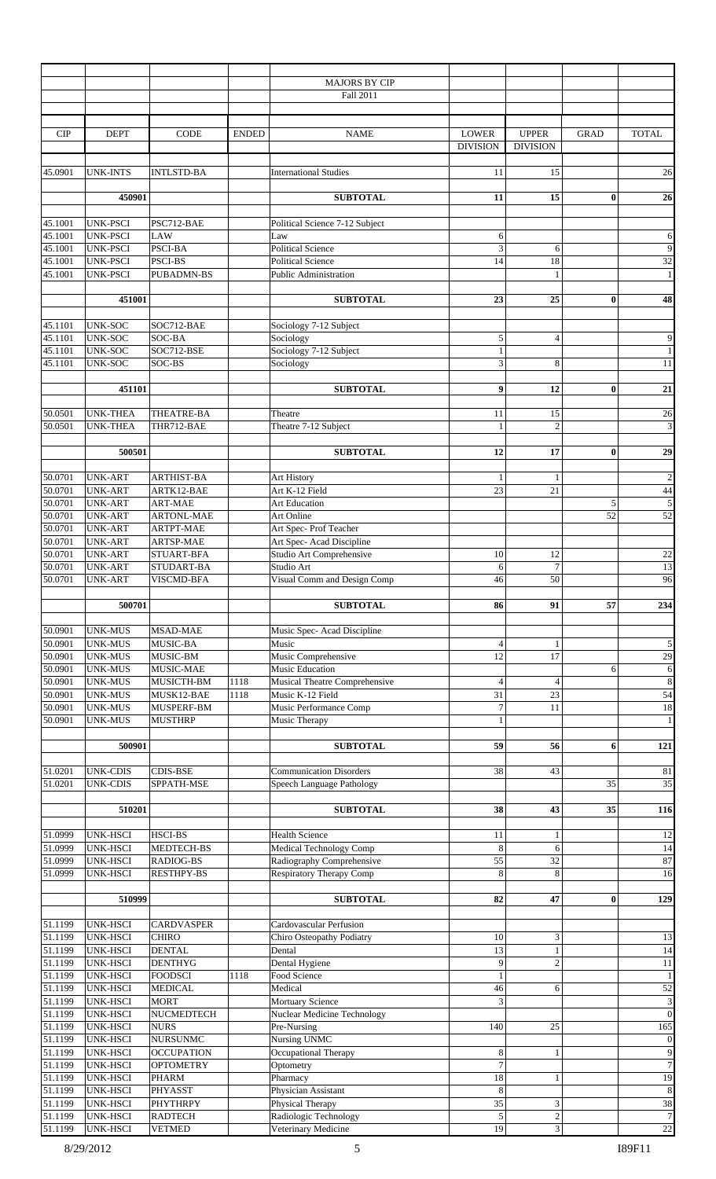|                    |                                    |                                       |              | <b>MAJORS BY CIP</b>                                   |                                 |                                 |             |                                    |
|--------------------|------------------------------------|---------------------------------------|--------------|--------------------------------------------------------|---------------------------------|---------------------------------|-------------|------------------------------------|
|                    |                                    |                                       |              | Fall 2011                                              |                                 |                                 |             |                                    |
| CIP                | <b>DEPT</b>                        | CODE                                  | <b>ENDED</b> | <b>NAME</b>                                            | <b>LOWER</b><br><b>DIVISION</b> | <b>UPPER</b><br><b>DIVISION</b> | <b>GRAD</b> | <b>TOTAL</b>                       |
| 45.0901            | <b>UNK-INTS</b>                    | <b>INTLSTD-BA</b>                     |              | <b>International Studies</b>                           | 11                              | 15                              |             | 26                                 |
|                    | 450901                             |                                       |              | <b>SUBTOTAL</b>                                        | 11                              | 15                              | $\bf{0}$    | 26                                 |
|                    |                                    |                                       |              |                                                        |                                 |                                 |             |                                    |
| 45.1001            | <b>UNK-PSCI</b>                    | PSC712-BAE                            |              | Political Science 7-12 Subject                         |                                 |                                 |             |                                    |
| 45.1001<br>45.1001 | <b>UNK-PSCI</b><br><b>UNK-PSCI</b> | <b>LAW</b><br>PSCI-BA                 |              | Law<br><b>Political Science</b>                        | 6<br>3                          | 6                               |             | 6<br>$\overline{9}$                |
| 45.1001            | <b>UNK-PSCI</b>                    | PSCI-BS                               |              | <b>Political Science</b>                               | 14                              | 18                              |             | $\overline{32}$                    |
| 45.1001            | <b>UNK-PSCI</b>                    | <b>PUBADMN-BS</b>                     |              | <b>Public Administration</b>                           |                                 | $\mathbf{1}$                    |             | $1\,$                              |
|                    |                                    |                                       |              |                                                        |                                 |                                 |             |                                    |
|                    | 451001                             |                                       |              | <b>SUBTOTAL</b>                                        | 23                              | 25                              | $\bf{0}$    | 48                                 |
| 45.1101            | UNK-SOC                            | SOC712-BAE                            |              | Sociology 7-12 Subject                                 |                                 |                                 |             |                                    |
| 45.1101            | UNK-SOC                            | SOC-BA                                |              | Sociology                                              | $\sqrt{5}$                      | $\overline{4}$                  |             | $\boldsymbol{9}$                   |
| 45.1101            | UNK-SOC                            | SOC712-BSE                            |              | Sociology 7-12 Subject                                 | $\mathbf{1}$                    |                                 |             | $\overline{1}$                     |
| 45.1101            | <b>UNK-SOC</b>                     | SOC-BS                                |              | Sociology                                              | 3                               | 8                               |             | 11                                 |
|                    | 451101                             |                                       |              | <b>SUBTOTAL</b>                                        | 9                               | 12                              | $\bf{0}$    | ${\bf 21}$                         |
|                    |                                    |                                       |              |                                                        |                                 |                                 |             |                                    |
| 50.0501<br>50.0501 | <b>UNK-THEA</b><br><b>UNK-THEA</b> | THEATRE-BA<br>THR712-BAE              |              | Theatre<br>Theatre 7-12 Subject                        | 11<br>$\mathbf{1}$              | 15<br>$\overline{2}$            |             | $26\,$<br>$\overline{3}$           |
|                    | 500501                             |                                       |              | <b>SUBTOTAL</b>                                        | 12                              | 17                              | $\bf{0}$    | 29                                 |
| 50.0701            | <b>UNK-ART</b>                     | ARTHIST-BA                            |              |                                                        |                                 | 1                               |             | $\sqrt{2}$                         |
| 50.0701            | <b>UNK-ART</b>                     | ARTK12-BAE                            |              | Art History<br>Art K-12 Field                          | $\mathbf{1}$<br>23              | 21                              |             | 44                                 |
| 50.0701            | <b>UNK-ART</b>                     | <b>ART-MAE</b>                        |              | <b>Art Education</b>                                   |                                 |                                 | 5           | $\sqrt{5}$                         |
| 50.0701            | <b>UNK-ART</b>                     | <b>ARTONL-MAE</b>                     |              | Art Online                                             |                                 |                                 | 52          | 52                                 |
| 50.0701            | <b>UNK-ART</b>                     | <b>ARTPT-MAE</b>                      |              | Art Spec-Prof Teacher                                  |                                 |                                 |             |                                    |
| 50.0701            | <b>UNK-ART</b>                     | ARTSP-MAE                             |              | Art Spec- Acad Discipline                              |                                 |                                 |             |                                    |
| 50.0701<br>50.0701 | <b>UNK-ART</b><br><b>UNK-ART</b>   | STUART-BFA<br>STUDART-BA              |              | Studio Art Comprehensive<br>Studio Art                 | 10<br>6                         | 12<br>$\overline{7}$            |             | 22<br>13                           |
| 50.0701            | <b>UNK-ART</b>                     | VISCMD-BFA                            |              | Visual Comm and Design Comp                            | 46                              | 50                              |             | 96                                 |
|                    |                                    |                                       |              |                                                        |                                 |                                 |             |                                    |
| 50.0901            | 500701<br><b>UNK-MUS</b>           | <b>MSAD-MAE</b>                       |              | <b>SUBTOTAL</b><br>Music Spec- Acad Discipline         | 86                              | 91                              | 57          | 234                                |
| 50.0901            | <b>UNK-MUS</b>                     | MUSIC-BA                              |              | Music                                                  | $\overline{4}$                  |                                 |             | $\sqrt{5}$                         |
| 50.0901            | <b>UNK-MUS</b>                     | MUSIC-BM                              |              | Music Comprehensive                                    | 12                              | 17                              |             | 29                                 |
| 50.0901            | <b>UNK-MUS</b>                     | MUSIC-MAE                             |              | Music Education                                        |                                 |                                 | 6           | $\sqrt{6}$                         |
| 50.0901            | <b>UNK-MUS</b>                     | MUSICTH-BM                            | 1118         | Musical Theatre Comprehensive                          | $\overline{4}$                  | $\overline{4}$                  |             | $\overline{\bf 8}$                 |
| 50.0901<br>50.0901 | <b>UNK-MUS</b><br><b>UNK-MUS</b>   | MUSK12-BAE<br>MUSPERF-BM              | 1118         | Music K-12 Field<br>Music Performance Comp             | 31<br>$\boldsymbol{7}$          | 23<br>11                        |             | $\overline{54}$<br>18              |
| 50.0901            | <b>UNK-MUS</b>                     | <b>MUSTHRP</b>                        |              | Music Therapy                                          | $\mathbf{1}$                    |                                 |             | $\,1\,$                            |
|                    |                                    |                                       |              |                                                        |                                 |                                 |             |                                    |
|                    | 500901                             |                                       |              | <b>SUBTOTAL</b>                                        | 59                              | 56                              | 6           | 121                                |
| 51.0201            | <b>UNK-CDIS</b>                    | <b>CDIS-BSE</b>                       |              | <b>Communication Disorders</b>                         | 38                              | 43                              |             | 81                                 |
| 51.0201            | <b>UNK-CDIS</b>                    | SPPATH-MSE                            |              | Speech Language Pathology                              |                                 |                                 | 35          | 35                                 |
|                    | 510201                             |                                       |              | <b>SUBTOTAL</b>                                        | 38                              | 43                              | 35          | 116                                |
|                    |                                    |                                       |              |                                                        |                                 |                                 |             |                                    |
| 51.0999            | UNK-HSCI                           | <b>HSCI-BS</b>                        |              | <b>Health Science</b>                                  | 11                              | -1                              |             | 12                                 |
| 51.0999<br>51.0999 | UNK-HSCI<br>UNK-HSCI               | <b>MEDTECH-BS</b><br><b>RADIOG-BS</b> |              | Medical Technology Comp<br>Radiography Comprehensive   | 8<br>55                         | 6<br>32                         |             | 14<br>87                           |
| 51.0999            | UNK-HSCI                           | <b>RESTHPY-BS</b>                     |              | Respiratory Therapy Comp                               | 8                               | 8                               |             | 16                                 |
|                    | 510999                             |                                       |              | <b>SUBTOTAL</b>                                        | 82                              | 47                              | $\bf{0}$    | 129                                |
| 51.1199            |                                    |                                       |              | Cardovascular Perfusion                                |                                 |                                 |             |                                    |
| 51.1199            | UNK-HSCI<br>UNK-HSCI               | <b>CARDVASPER</b><br><b>CHIRO</b>     |              | Chiro Osteopathy Podiatry                              | 10                              | 3                               |             | 13                                 |
| 51.1199            | UNK-HSCI                           | <b>DENTAL</b>                         |              | Dental                                                 | 13                              | 1                               |             | 14                                 |
| 51.1199            | UNK-HSCI                           | <b>DENTHYG</b>                        |              | Dental Hygiene                                         | 9                               | $\overline{2}$                  |             | 11                                 |
| 51.1199            | <b>UNK-HSCI</b>                    | <b>FOODSCI</b>                        | 1118         | Food Science                                           | $\mathbf{1}$                    |                                 |             | 1                                  |
| 51.1199<br>51.1199 | UNK-HSCI                           | <b>MEDICAL</b>                        |              | Medical                                                | 46<br>3                         | 6                               |             | 52                                 |
| 51.1199            | UNK-HSCI<br><b>UNK-HSCI</b>        | <b>MORT</b><br>NUCMEDTECH             |              | <b>Mortuary Science</b><br>Nuclear Medicine Technology |                                 |                                 |             | $\overline{3}$<br>$\boldsymbol{0}$ |
| 51.1199            | UNK-HSCI                           | <b>NURS</b>                           |              | Pre-Nursing                                            | 140                             | 25                              |             | 165                                |
| 51.1199            | <b>UNK-HSCI</b>                    | <b>NURSUNMC</b>                       |              | Nursing UNMC                                           |                                 |                                 |             | $\boldsymbol{0}$                   |
| 51.1199            | UNK-HSCI                           | <b>OCCUPATION</b>                     |              | Occupational Therapy                                   | 8                               | 1                               |             | $\mathbf{9}$                       |
| 51.1199            | UNK-HSCI                           | <b>OPTOMETRY</b>                      |              | Optometry                                              | $\overline{7}$                  |                                 |             | $\boldsymbol{7}$                   |
| 51.1199<br>51.1199 | <b>UNK-HSCI</b><br>UNK-HSCI        | PHARM<br>PHYASST                      |              | Pharmacy<br>Physician Assistant                        | 18<br>8                         | 1                               |             | 19<br>$\,8\,$                      |
| 51.1199            | UNK-HSCI                           | <b>PHYTHRPY</b>                       |              | Physical Therapy                                       | 35                              | 3                               |             | 38                                 |
| 51.1199<br>51.1199 | <b>UNK-HSCI</b>                    | <b>RADTECH</b>                        |              | Radiologic Technology                                  | $\mathcal{L}$                   | $\overline{\mathbf{c}}$         |             |                                    |
|                    | <b>UNK-HSCI</b>                    | <b>VETMED</b>                         |              | Veterinary Medicine                                    | 19                              | $\overline{3}$                  |             | $22\,$                             |